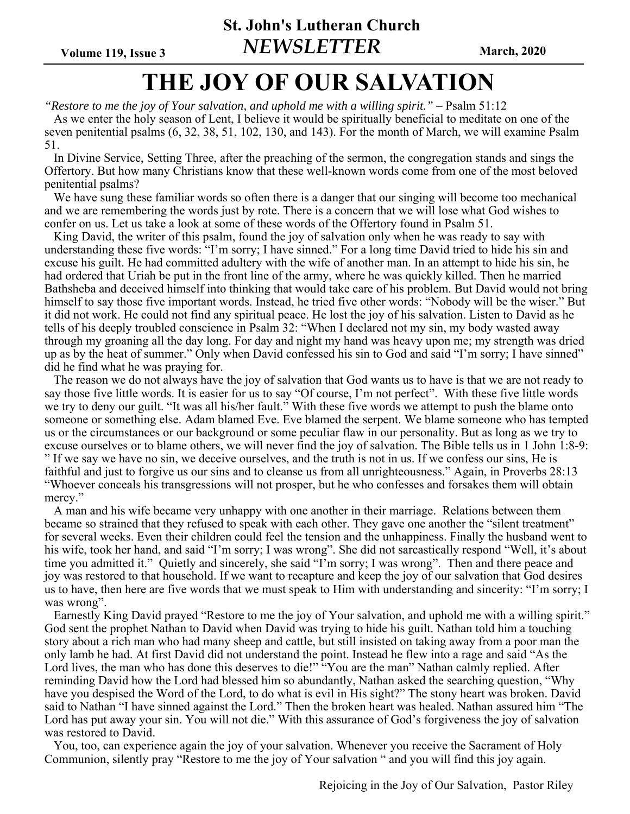**St. John's Lutheran Church**  Volume 119, Issue 3 **NEWSLETTER** March, 2020

# **THE JOY OF OUR SALVATION**

*"Restore to me the joy of Your salvation, and uphold me with a willing spirit."* – Psalm 51:12 As we enter the holy season of Lent, I believe it would be spiritually beneficial to meditate on one of the seven penitential psalms (6, 32, 38, 51, 102, 130, and 143). For the month of March, we will examine Psalm 51.

 In Divine Service, Setting Three, after the preaching of the sermon, the congregation stands and sings the Offertory. But how many Christians know that these well-known words come from one of the most beloved penitential psalms?

 We have sung these familiar words so often there is a danger that our singing will become too mechanical and we are remembering the words just by rote. There is a concern that we will lose what God wishes to confer on us. Let us take a look at some of these words of the Offertory found in Psalm 51.

 King David, the writer of this psalm, found the joy of salvation only when he was ready to say with understanding these five words: "I'm sorry; I have sinned." For a long time David tried to hide his sin and excuse his guilt. He had committed adultery with the wife of another man. In an attempt to hide his sin, he had ordered that Uriah be put in the front line of the army, where he was quickly killed. Then he married Bathsheba and deceived himself into thinking that would take care of his problem. But David would not bring himself to say those five important words. Instead, he tried five other words: "Nobody will be the wiser." But it did not work. He could not find any spiritual peace. He lost the joy of his salvation. Listen to David as he tells of his deeply troubled conscience in Psalm 32: "When I declared not my sin, my body wasted away through my groaning all the day long. For day and night my hand was heavy upon me; my strength was dried up as by the heat of summer." Only when David confessed his sin to God and said "I'm sorry; I have sinned" did he find what he was praying for.

 The reason we do not always have the joy of salvation that God wants us to have is that we are not ready to say those five little words. It is easier for us to say "Of course, I'm not perfect". With these five little words we try to deny our guilt. "It was all his/her fault." With these five words we attempt to push the blame onto someone or something else. Adam blamed Eve. Eve blamed the serpent. We blame someone who has tempted us or the circumstances or our background or some peculiar flaw in our personality. But as long as we try to excuse ourselves or to blame others, we will never find the joy of salvation. The Bible tells us in 1 John 1:8-9:

" If we say we have no sin, we deceive ourselves, and the truth is not in us. If we confess our sins, He is faithful and just to forgive us our sins and to cleanse us from all unrighteousness." Again, in Proverbs 28:13 "Whoever conceals his transgressions will not prosper, but he who confesses and forsakes them will obtain mercy."

 A man and his wife became very unhappy with one another in their marriage. Relations between them became so strained that they refused to speak with each other. They gave one another the "silent treatment" for several weeks. Even their children could feel the tension and the unhappiness. Finally the husband went to his wife, took her hand, and said "I'm sorry; I was wrong". She did not sarcastically respond "Well, it's about time you admitted it." Quietly and sincerely, she said "I'm sorry; I was wrong". Then and there peace and joy was restored to that household. If we want to recapture and keep the joy of our salvation that God desires us to have, then here are five words that we must speak to Him with understanding and sincerity: "I'm sorry; I was wrong".

 Earnestly King David prayed "Restore to me the joy of Your salvation, and uphold me with a willing spirit." God sent the prophet Nathan to David when David was trying to hide his guilt. Nathan told him a touching story about a rich man who had many sheep and cattle, but still insisted on taking away from a poor man the only lamb he had. At first David did not understand the point. Instead he flew into a rage and said "As the Lord lives, the man who has done this deserves to die!" "You are the man" Nathan calmly replied. After reminding David how the Lord had blessed him so abundantly, Nathan asked the searching question, "Why have you despised the Word of the Lord, to do what is evil in His sight?" The stony heart was broken. David said to Nathan "I have sinned against the Lord." Then the broken heart was healed. Nathan assured him "The Lord has put away your sin. You will not die." With this assurance of God's forgiveness the joy of salvation was restored to David.

 You, too, can experience again the joy of your salvation. Whenever you receive the Sacrament of Holy Communion, silently pray "Restore to me the joy of Your salvation " and you will find this joy again.

Rejoicing in the Joy of Our Salvation, Pastor Riley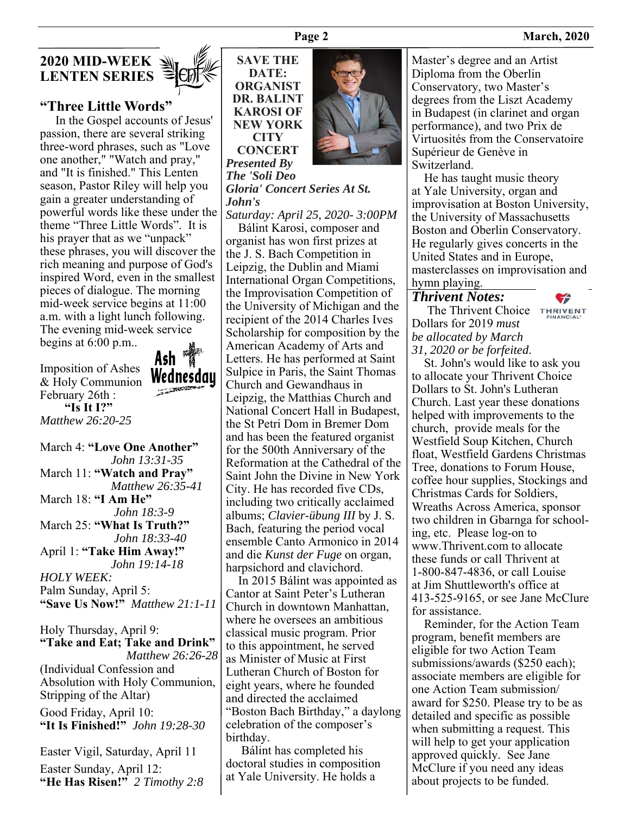

# **"Three Little Words"**

 In the Gospel accounts of Jesus' passion, there are several striking three-word phrases, such as "Love one another," "Watch and pray," and "It is finished." This Lenten season, Pastor Riley will help you gain a greater understanding of powerful words like these under the theme "Three Little Words". It is his prayer that as we "unpack" these phrases, you will discover the rich meaning and purpose of God's inspired Word, even in the smallest pieces of dialogue. The morning mid-week service begins at 11:00 a.m. with a light lunch following. The evening mid-week service begins at 6:00 p.m..

Imposition of Ashes & Holy Communion February 26th :  **"Is It I?"**  *Matthew 26:20-25* 

Ash Wednesday

March 4: **"Love One Another"** *John 13:31-35* March 11: **"Watch and Pray"** *Matthew 26:35-41* March 18: **"I Am He"** *John 18:3-9* March 25: **"What Is Truth?"** *John 18:33-40* April 1: **"Take Him Away!"** *John 19:14-18 HOLY WEEK:*  Palm Sunday, April 5: **"Save Us Now!"** *Matthew 21:1-11* 

Holy Thursday, April 9: **"Take and Eat; Take and Drink"** *Matthew 26:26-28* (Individual Confession and Absolution with Holy Communion, Stripping of the Altar) Good Friday, April 10: **"It Is Finished!"** *John 19:28-30* 

Easter Vigil, Saturday, April 11 Easter Sunday, April 12: **"He Has Risen!"** *2 Timothy 2:8*



*Presented By The 'Soli Deo Gloria' Concert Series At St. John's*

*Saturday: April 25, 2020- 3:00PM*

 Bálint Karosi, composer and organist has won first prizes at the J. S. Bach Competition in Leipzig, the Dublin and Miami International Organ Competitions, the Improvisation Competition of the University of Michigan and the recipient of the 2014 Charles Ives Scholarship for composition by the American Academy of Arts and Letters. He has performed at Saint Sulpice in Paris, the Saint Thomas Church and Gewandhaus in Leipzig, the Matthias Church and National Concert Hall in Budapest, the St Petri Dom in Bremer Dom and has been the featured organist for the 500th Anniversary of the Reformation at the Cathedral of the Saint John the Divine in New York City. He has recorded five CDs, including two critically acclaimed albums; *Clavier-übung III* by J. S. Bach, featuring the period vocal ensemble Canto Armonico in 2014 and die *Kunst der Fuge* on organ, harpsichord and clavichord.

 In 2015 Bálint was appointed as Cantor at Saint Peter's Lutheran Church in downtown Manhattan, where he oversees an ambitious classical music program. Prior to this appointment, he served as Minister of Music at First Lutheran Church of Boston for eight years, where he founded and directed the acclaimed "Boston Bach Birthday," a daylong celebration of the composer's birthday.

 Bálint has completed his doctoral studies in composition at Yale University. He holds a



Master's degree and an Artist Diploma from the Oberlin Conservatory, two Master's degrees from the Liszt Academy in Budapest (in clarinet and organ performance), and two Prix de Virtuosités from the Conservatoire Supérieur de Genève in Switzerland.

 He has taught music theory at Yale University, organ and improvisation at Boston University, the University of Massachusetts Boston and Oberlin Conservatory. He regularly gives concerts in the United States and in Europe, masterclasses on improvisation and hymn playing.

#### *Thrivent Notes:*

The Thrivent Choice THRIVENT Dollars for 2019 *must be allocated by March 31, 2020 or be forfeited*.

 St. John's would like to ask you to allocate your Thrivent Choice Dollars to St. John's Lutheran Church. Last year these donations helped with improvements to the church, provide meals for the Westfield Soup Kitchen, Church float, Westfield Gardens Christmas Tree, donations to Forum House, coffee hour supplies, Stockings and Christmas Cards for Soldiers, Wreaths Across America, sponsor two children in Gbarnga for schooling, etc. Please log-on to www.Thrivent.com to allocate these funds or call Thrivent at 1-800-847-4836, or call Louise at Jim Shuttleworth's office at 413-525-9165, or see Jane McClure for assistance.

 Reminder, for the Action Team program, benefit members are eligible for two Action Team submissions/awards (\$250 each); associate members are eligible for one Action Team submission/ award for \$250. Please try to be as detailed and specific as possible when submitting a request. This will help to get your application approved quickly. See Jane McClure if you need any ideas about projects to be funded.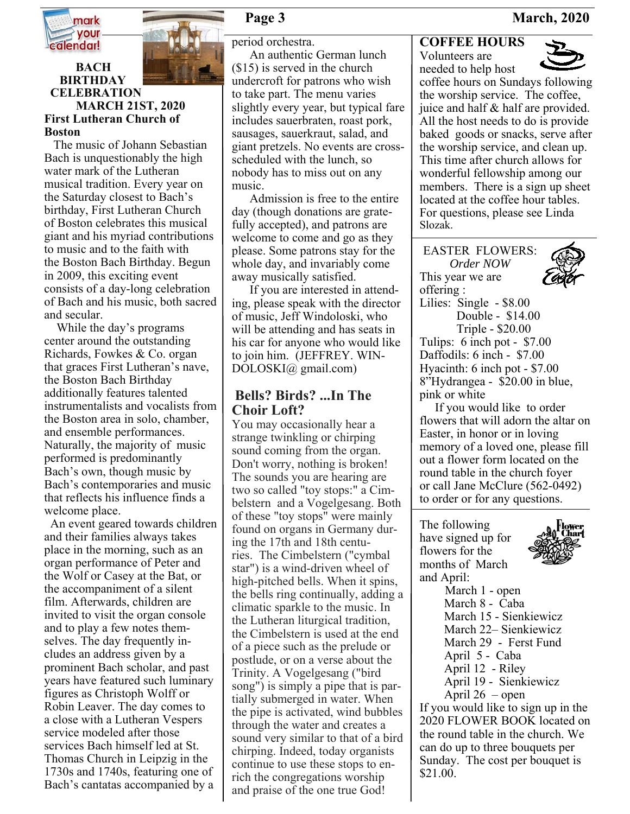

**BACH** 



#### **BIRTHDAY CELEBRATION MARCH 21ST, 2020 First Lutheran Church of Boston**

 The music of Johann Sebastian Bach is unquestionably the high water mark of the Lutheran musical tradition. Every year on the Saturday closest to Bach's birthday, First Lutheran Church of Boston celebrates this musical giant and his myriad contributions to music and to the faith with the Boston Bach Birthday. Begun in 2009, this exciting event consists of a day-long celebration of Bach and his music, both sacred and secular.

 While the day's programs center around the outstanding Richards, Fowkes & Co. organ that graces First Lutheran's nave, the Boston Bach Birthday additionally features talented instrumentalists and vocalists from the Boston area in solo, chamber, and ensemble performances. Naturally, the majority of music performed is predominantly Bach's own, though music by Bach's contemporaries and music that reflects his influence finds a welcome place.

 An event geared towards children and their families always takes place in the morning, such as an organ performance of Peter and the Wolf or Casey at the Bat, or the accompaniment of a silent film. Afterwards, children are invited to visit the organ console and to play a few notes themselves. The day frequently includes an address given by a prominent Bach scholar, and past years have featured such luminary figures as Christoph Wolff or Robin Leaver. The day comes to a close with a Lutheran Vespers service modeled after those services Bach himself led at St. Thomas Church in Leipzig in the 1730s and 1740s, featuring one of Bach's cantatas accompanied by a

period orchestra.

An authentic German lunch (\$15) is served in the church undercroft for patrons who wish to take part. The menu varies slightly every year, but typical fare includes sauerbraten, roast pork, sausages, sauerkraut, salad, and giant pretzels. No events are crossscheduled with the lunch, so nobody has to miss out on any music.

Admission is free to the entire day (though donations are gratefully accepted), and patrons are welcome to come and go as they please. Some patrons stay for the whole day, and invariably come away musically satisfied.

If you are interested in attending, please speak with the director of music, Jeff Windoloski, who will be attending and has seats in his car for anyone who would like to join him. (JEFFREY. WIN-DOLOSKI@ gmail.com)

# **Bells? Birds? ...In The Choir Loft?**

You may occasionally hear a strange twinkling or chirping sound coming from the organ. Don't worry, nothing is broken! The sounds you are hearing are two so called "toy stops:" a Cimbelstern and a Vogelgesang. Both of these "toy stops" were mainly found on organs in Germany during the 17th and 18th centuries. The Cimbelstern ("cymbal star") is a wind-driven wheel of high-pitched bells. When it spins, the bells ring continually, adding a climatic sparkle to the music. In the Lutheran liturgical tradition, the Cimbelstern is used at the end of a piece such as the prelude or postlude, or on a verse about the Trinity. A Vogelgesang ("bird song") is simply a pipe that is partially submerged in water. When the pipe is activated, wind bubbles through the water and creates a sound very similar to that of a bird chirping. Indeed, today organists continue to use these stops to enrich the congregations worship and praise of the one true God!

# **COFFEE HOURS**

Volunteers are needed to help host



coffee hours on Sundays following the worship service. The coffee, juice and half & half are provided. All the host needs to do is provide baked goods or snacks, serve after the worship service, and clean up. This time after church allows for wonderful fellowship among our members. There is a sign up sheet located at the coffee hour tables. For questions, please see Linda Slozak.

EASTER FLOWERS: *Order NOW* This year we are offering :



Lilies: Single - \$8.00 Double - \$14.00 Triple - \$20.00 Tulips: 6 inch pot - \$7.00 Daffodils: 6 inch - \$7.00 Hyacinth: 6 inch pot - \$7.00 8"Hydrangea - \$20.00 in blue, pink or white

 If you would like to order flowers that will adorn the altar on Easter, in honor or in loving memory of a loved one, please fill out a flower form located on the round table in the church foyer or call Jane McClure (562-0492) to order or for any questions.

The following have signed up for flowers for the months of March and April:



 March 1 - open March 8 - Caba March 15 - Sienkiewicz March 22– Sienkiewicz March 29 - Ferst Fund April 5 - Caba April 12 - Riley April 19 - Sienkiewicz April 26 – open

If you would like to sign up in the 2020 FLOWER BOOK located on the round table in the church. We can do up to three bouquets per Sunday. The cost per bouquet is \$21.00.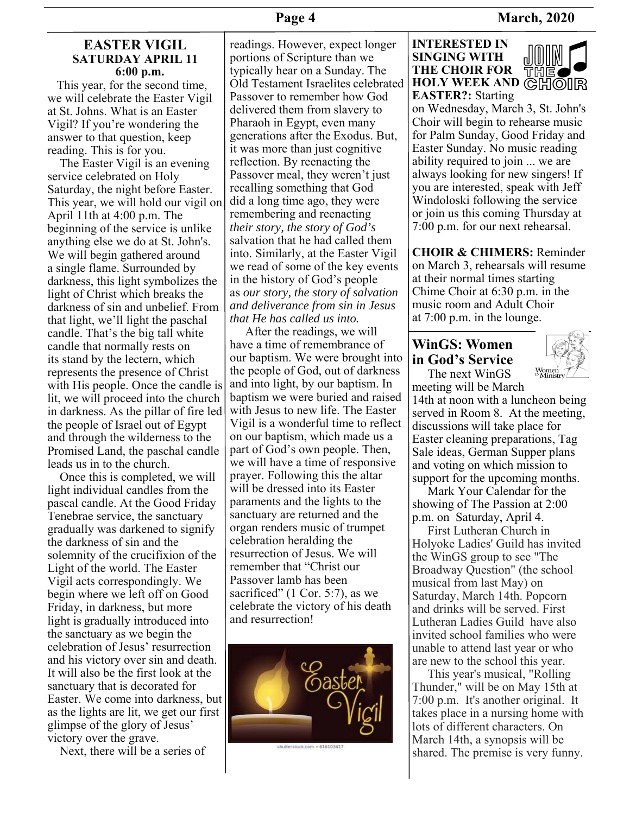# **Page 4** March, 2020

# **EASTER VIGIL SATURDAY APRIL 11 6:00 p.m.**

 This year, for the second time, we will celebrate the Easter Vigil at St. Johns. What is an Easter Vigil? If you're wondering the answer to that question, keep reading. This is for you.

 The Easter Vigil is an evening service celebrated on Holy Saturday, the night before Easter. This year, we will hold our vigil on April 11th at 4:00 p.m. The beginning of the service is unlike anything else we do at St. John's. We will begin gathered around a single flame. Surrounded by darkness, this light symbolizes the light of Christ which breaks the darkness of sin and unbelief. From that light, we'll light the paschal candle. That's the big tall white candle that normally rests on its stand by the lectern, which represents the presence of Christ with His people. Once the candle is lit, we will proceed into the church in darkness. As the pillar of fire led the people of Israel out of Egypt and through the wilderness to the Promised Land, the paschal candle leads us in to the church.

 Once this is completed, we will light individual candles from the pascal candle. At the Good Friday Tenebrae service, the sanctuary gradually was darkened to signify the darkness of sin and the solemnity of the crucifixion of the Light of the world. The Easter Vigil acts correspondingly. We begin where we left off on Good Friday, in darkness, but more light is gradually introduced into the sanctuary as we begin the celebration of Jesus' resurrection and his victory over sin and death. It will also be the first look at the sanctuary that is decorated for Easter. We come into darkness, but as the lights are lit, we get our first glimpse of the glory of Jesus' victory over the grave.

Next, there will be a series of

readings. However, expect longer portions of Scripture than we typically hear on a Sunday. The Old Testament Israelites celebrated Passover to remember how God delivered them from slavery to Pharaoh in Egypt, even many generations after the Exodus. But, it was more than just cognitive reflection. By reenacting the Passover meal, they weren't just recalling something that God did a long time ago, they were remembering and reenacting *their story, the story of God's* salvation that he had called them into. Similarly, at the Easter Vigil we read of some of the key events in the history of God's people as *our story, the story of salvation and deliverance from sin in Jesus that He has called us into.*

 After the readings, we will have a time of remembrance of our baptism. We were brought into the people of God, out of darkness and into light, by our baptism. In baptism we were buried and raised with Jesus to new life. The Easter Vigil is a wonderful time to reflect on our baptism, which made us a part of God's own people. Then, we will have a time of responsive prayer. Following this the altar will be dressed into its Easter paraments and the lights to the sanctuary are returned and the organ renders music of trumpet celebration heralding the resurrection of Jesus. We will remember that "Christ our Passover lamb has been sacrificed" (1 Cor. 5:7), as we celebrate the victory of his death and resurrection!



#### **INTERESTED IN SINGING WITH THE CHOIR FOR HOLY WEEK AND GHOIR EASTER?:** Starting



on Wednesday, March 3, St. John's Choir will begin to rehearse music for Palm Sunday, Good Friday and Easter Sunday. No music reading ability required to join ... we are always looking for new singers! If you are interested, speak with Jeff Windoloski following the service or join us this coming Thursday at 7:00 p.m. for our next rehearsal.

**CHOIR & CHIMERS:** Reminder on March 3, rehearsals will resume at their normal times starting Chime Choir at 6:30 p.m. in the music room and Adult Choir at 7:00 p.m. in the lounge.

# **WinGS: Women in God's Service**

The next WinGS



meeting will be March 14th at noon with a luncheon being served in Room 8. At the meeting, discussions will take place for Easter cleaning preparations, Tag Sale ideas, German Supper plans and voting on which mission to support for the upcoming months.

 Mark Your Calendar for the showing of The Passion at 2:00 p.m. on Saturday, April 4.

 First Lutheran Church in Holyoke Ladies' Guild has invited the WinGS group to see "The Broadway Question" (the school musical from last May) on Saturday, March 14th. Popcorn and drinks will be served. First Lutheran Ladies Guild have also invited school families who were unable to attend last year or who are new to the school this year.

 This year's musical, "Rolling Thunder," will be on May 15th at 7:00 p.m. It's another original. It takes place in a nursing home with lots of different characters. On March 14th, a synopsis will be shared. The premise is very funny.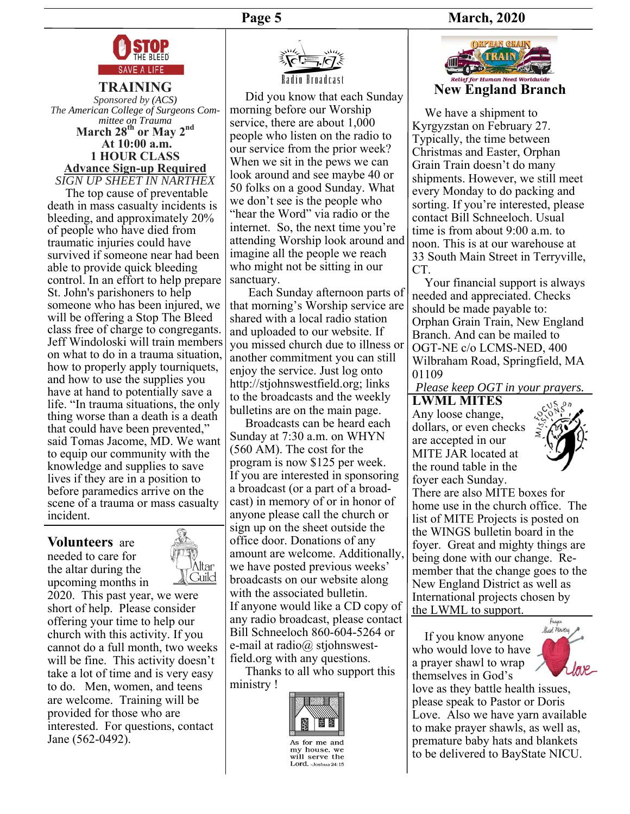### **Page 5 March, 2020**





**TRAINING** *Sponsored by (ACS) The American College of Surgeons Committee on Trauma* March 28<sup>th</sup> or May 2<sup>nd</sup>  **At 10:00 a.m. 1 HOUR CLASS Advance Sign-up Required**  *SIGN UP SHEET IN NARTHEX*

 The top cause of preventable death in mass casualty incidents is bleeding, and approximately 20% of people who have died from traumatic injuries could have survived if someone near had been able to provide quick bleeding control. In an effort to help prepare St. John's parishoners to help someone who has been injured, we will be offering a Stop The Bleed class free of charge to congregants. Jeff Windoloski will train members on what to do in a trauma situation, how to properly apply tourniquets, and how to use the supplies you have at hand to potentially save a life. "In trauma situations, the only thing worse than a death is a death that could have been prevented," said Tomas Jacome, MD. We want to equip our community with the knowledge and supplies to save lives if they are in a position to before paramedics arrive on the scene of a trauma or mass casualty incident.

### **Volunteers** are

needed to care for the altar during the upcoming months in



2020. This past year, we were short of help. Please consider offering your time to help our church with this activity. If you cannot do a full month, two weeks will be fine. This activity doesn't take a lot of time and is very easy to do. Men, women, and teens are welcome. Training will be provided for those who are interested. For questions, contact Jane (562-0492).



 Did you know that each Sunday morning before our Worship service, there are about 1,000 people who listen on the radio to our service from the prior week? When we sit in the pews we can look around and see maybe 40 or 50 folks on a good Sunday. What we don't see is the people who "hear the Word" via radio or the internet. So, the next time you're attending Worship look around and imagine all the people we reach who might not be sitting in our sanctuary.

 Each Sunday afternoon parts of that morning's Worship service are shared with a local radio station and uploaded to our website. If you missed church due to illness or another commitment you can still enjoy the service. Just log onto http://stjohnswestfield.org; links to the broadcasts and the weekly bulletins are on the main page.

 Broadcasts can be heard each Sunday at 7:30 a.m. on WHYN (560 AM). The cost for the program is now \$125 per week. If you are interested in sponsoring a broadcast (or a part of a broadcast) in memory of or in honor of anyone please call the church or sign up on the sheet outside the office door. Donations of any amount are welcome. Additionally, we have posted previous weeks' broadcasts on our website along with the associated bulletin. If anyone would like a CD copy of any radio broadcast, please contact Bill Schneeloch 860-604-5264 or e-mail at radio@ stjohnswestfield.org with any questions.

 Thanks to all who support this ministry !



my house, we will serve the Lord. - Joshua 24:15



 We have a shipment to Kyrgyzstan on February 27. Typically, the time between Christmas and Easter, Orphan Grain Train doesn't do many shipments. However, we still meet every Monday to do packing and sorting. If you're interested, please contact Bill Schneeloch. Usual time is from about 9:00 a.m. to noon. This is at our warehouse at 33 South Main Street in Terryville, CT.

 Your financial support is always needed and appreciated. Checks should be made payable to: Orphan Grain Train, New England Branch. And can be mailed to OGT-NE c/o LCMS-NED, 400 Wilbraham Road, Springfield, MA 01109

*Please keep OGT in your prayers.* 

**LWML MITES**  Any loose change, dollars, or even checks are accepted in our MITE JAR located at the round table in the



foyer each Sunday. There are also MITE boxes for home use in the church office. The list of MITE Projects is posted on the WINGS bulletin board in the foyer. Great and mighty things are being done with our change. Remember that the change goes to the New England District as well as International projects chosen by the LWML to support.

 If you know anyone who would love to have a prayer shawl to wrap themselves in God's



love as they battle health issues, please speak to Pastor or Doris Love. Also we have yarn available to make prayer shawls, as well as, premature baby hats and blankets to be delivered to BayState NICU.